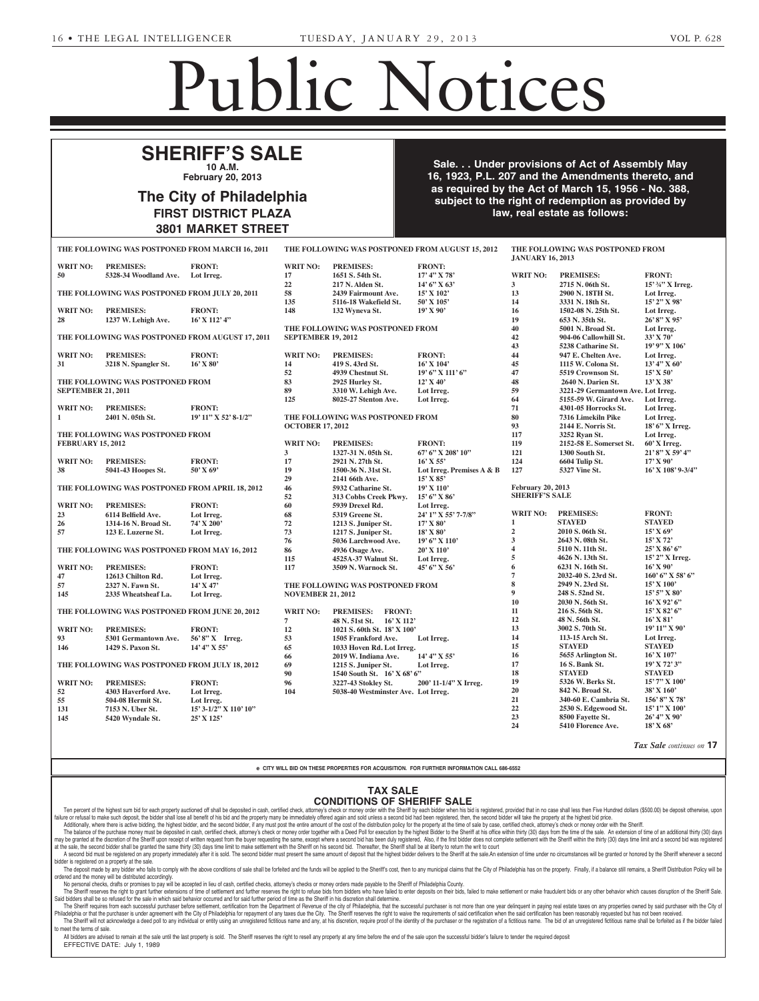Name Change

2013 at 12:30 P.M., in Room 691,

# Public Notices

Evans Street, Walnut Building, Suite A, West Chester, PA 19380-19380-19380-19380-19380-19380-19380-19380-19380-1

# **SHERIFF'S SALE 10 A.M.**  $E$

**February 20, 2013 PURBAN 20, 2015** 

### **The City of Philadelphia FIRST DISTRICT PLAZA 3801 MARKET STREET** Estates and Fiduciaries Code of June 30, 1972 (Act No. 164) of grant of letters to contain the name and address of the design of the design of the design of the design of the design of the design of th **BAN** -- Richard W. Shead, Jr., Shead, Jr., Shead, Jr., Shead, Jr., Shead, Jr., Shead, Jr., Shead, Jr., Shead, Jr., Shead, Jr., Shead, Jr., Shead, Jr., Shead, Jr., Shead, Jr., Shead, Jr., Shead, Jr., Shead, Jr., Shead, Jr. v of Philadelphia, tin, Espaina Ave-Septentra.<br>Francia Ave-Septentra. MARKET STREET ford Avenue, Philadelphia, PA

**Sale. . . Under provisions of Act of Assembly May 16, 1923, P.L. 207 and the Amendments thereto, and A. A. B. Yos as required by the Act of March 15, 1956 - No. 388, Example 1** Subject to the right of redemption as provided by law, real estate as follows: **NEWBY, WALTER RICHARD** -- Evans Street, Suite A., West Wetzel, Attorney, Wetzel Gagliardi & Fetter, LLC, 101 East  $\blacksquare$ . Under provisions of  $A$  $\frac{M}{2}$  and  $\frac{M}{2}$  denote  $I_{\text{W}}$ , real estate as of Accombly May  $\mathbf{C}$  Assembly way  $\overline{5}$  1056 - No. 388 24, 2012, the petition of **Melinda**  $f_{\text{one}}$  decree to change to change  $f_{\text{one}}$ **Michael Nicholas Salvina**. The

Corporate Notices

| THE FOLLOWING WAS POSTPONED FROM MARCH 16, 2011                                                                                                                                                                                                                                                                                                                                                                                                                  |                                                 |                                                                                                                                                                                                                               | THE FOLLOWING WAS POSTPONED FROM AUGUST 15, 2012 |                                     |                           | THE FOLLOWING WAS POSTPONED FROM<br><b>JANUARY 16, 2013</b> |                                    |                          |  |  |
|------------------------------------------------------------------------------------------------------------------------------------------------------------------------------------------------------------------------------------------------------------------------------------------------------------------------------------------------------------------------------------------------------------------------------------------------------------------|-------------------------------------------------|-------------------------------------------------------------------------------------------------------------------------------------------------------------------------------------------------------------------------------|--------------------------------------------------|-------------------------------------|---------------------------|-------------------------------------------------------------|------------------------------------|--------------------------|--|--|
| <b>WRIT NO:</b>                                                                                                                                                                                                                                                                                                                                                                                                                                                  | <b>PREMISES:</b>                                | <b>FRONT:</b>                                                                                                                                                                                                                 | <b>WRIT NO:</b>                                  | <b>PREMISES:</b>                    | <b>FRONT:</b>             |                                                             |                                    |                          |  |  |
| 50                                                                                                                                                                                                                                                                                                                                                                                                                                                               | 5328-34 Woodland Ave.                           | Lot Irreg.                                                                                                                                                                                                                    | 17                                               | 1651 S. 54th St.                    | $17'$ 4" X 78'            | <b>WRIT NO:</b>                                             | <b>PREMISES:</b>                   | <b>FRONT:</b>            |  |  |
|                                                                                                                                                                                                                                                                                                                                                                                                                                                                  |                                                 |                                                                                                                                                                                                                               | 22                                               | 217 N. Alden St.                    | 14' 6" X 63'              | 3                                                           | 2715 N. 06th St.                   | 15' 34" X Irreg.         |  |  |
|                                                                                                                                                                                                                                                                                                                                                                                                                                                                  |                                                 |                                                                                                                                                                                                                               | 58                                               | 2439 Fairmount Ave.                 | 15' X 102'                | 13                                                          | 2900 N. 18TH St.                   | Lot Irreg.               |  |  |
| THE FOLLOWING WAS POSTPONED FROM JULY 20, 2011                                                                                                                                                                                                                                                                                                                                                                                                                   |                                                 |                                                                                                                                                                                                                               |                                                  |                                     |                           |                                                             |                                    | 15' 2" X 98'             |  |  |
|                                                                                                                                                                                                                                                                                                                                                                                                                                                                  |                                                 |                                                                                                                                                                                                                               | 135                                              | 5116-18 Wakefield St.               | 50' X 105'                | 14                                                          | 3331 N. 18th St.                   |                          |  |  |
| <b>WRIT NO:</b>                                                                                                                                                                                                                                                                                                                                                                                                                                                  | <b>PREMISES:</b>                                | <b>FRONT:</b>                                                                                                                                                                                                                 | 148                                              | 132 Wyneva St.                      | 19'X90'                   | 16                                                          | 1502-08 N. 25th St.                | Lot Irreg.               |  |  |
| 28                                                                                                                                                                                                                                                                                                                                                                                                                                                               | 1237 W. Lehigh Ave.                             | 16' X 112' 4"                                                                                                                                                                                                                 |                                                  |                                     |                           | 19                                                          | 653 N. 35th St.                    | 26'8" X 95'              |  |  |
| THE FOLLOWING WAS POSTPONED FROM AUGUST 17, 2011                                                                                                                                                                                                                                                                                                                                                                                                                 |                                                 |                                                                                                                                                                                                                               | THE FOLLOWING WAS POSTPONED FROM                 |                                     |                           | 40                                                          | 5001 N. Broad St.                  | Lot Irreg.               |  |  |
|                                                                                                                                                                                                                                                                                                                                                                                                                                                                  |                                                 |                                                                                                                                                                                                                               | <b>SEPTEMBER 19, 2012</b>                        |                                     |                           | 42                                                          | 904-06 Callowhill St.              | 33' X 70'                |  |  |
|                                                                                                                                                                                                                                                                                                                                                                                                                                                                  |                                                 |                                                                                                                                                                                                                               |                                                  |                                     |                           | 43                                                          | 5238 Catharine St.                 | $19'$ 9" X $106'$        |  |  |
| <b>WRIT NO:</b>                                                                                                                                                                                                                                                                                                                                                                                                                                                  | <b>PREMISES:</b>                                | <b>FRONT:</b>                                                                                                                                                                                                                 | <b>WRIT NO:</b>                                  | <b>PREMISES:</b>                    | <b>FRONT:</b>             | 44                                                          | 947 E. Chelten Ave.                | Lot Irreg.               |  |  |
| 31                                                                                                                                                                                                                                                                                                                                                                                                                                                               | 3218 N. Spangler St.                            | $16'$ X 80'                                                                                                                                                                                                                   | 14                                               | 419 S. 43rd St.                     | 16' X 104'                | 45                                                          | 1115 W. Colona St.                 | $13'4''$ X 60'           |  |  |
|                                                                                                                                                                                                                                                                                                                                                                                                                                                                  |                                                 |                                                                                                                                                                                                                               | 52                                               | 4939 Chestnut St.                   | 19' 6" X 111' 6"          | 47                                                          | 5519 Crownson St.                  | $15'$ X 50'              |  |  |
|                                                                                                                                                                                                                                                                                                                                                                                                                                                                  | THE FOLLOWING WAS POSTPONED FROM                |                                                                                                                                                                                                                               | 83                                               | 2925 Hurley St.                     | 12' X 40'                 | 48                                                          | 2640 N. Darien St.                 | $13'$ X 38'              |  |  |
| <b>SEPTEMBER 21, 2011</b>                                                                                                                                                                                                                                                                                                                                                                                                                                        |                                                 |                                                                                                                                                                                                                               | 89                                               | 3310 W. Lehigh Ave.                 | Lot Irreg.                | 59                                                          | 3221-29 Germantown Ave. Lot Irreg. |                          |  |  |
|                                                                                                                                                                                                                                                                                                                                                                                                                                                                  |                                                 |                                                                                                                                                                                                                               | 125                                              | 8025-27 Stenton Ave.                | Lot Irreg.                | 64                                                          | 5155-59 W. Girard Ave.             | Lot Irreg.               |  |  |
| <b>WRIT NO:</b>                                                                                                                                                                                                                                                                                                                                                                                                                                                  | <b>PREMISES:</b>                                | <b>FRONT:</b>                                                                                                                                                                                                                 |                                                  |                                     |                           | 71                                                          | 4301-05 Horrocks St.               | Lot Irreg.               |  |  |
| $\mathbf{1}$                                                                                                                                                                                                                                                                                                                                                                                                                                                     | 2401 N. 05th St.                                | 19' 11" X 52' 8-1/2"                                                                                                                                                                                                          |                                                  | THE FOLLOWING WAS POSTPONED FROM    |                           | 80                                                          | 7316 Limekiln Pike                 | Lot Irreg.               |  |  |
|                                                                                                                                                                                                                                                                                                                                                                                                                                                                  |                                                 |                                                                                                                                                                                                                               | <b>OCTOBER 17, 2012</b>                          |                                     |                           | 93                                                          | 2144 E. Norris St.                 | 18' 6" X Irreg.          |  |  |
|                                                                                                                                                                                                                                                                                                                                                                                                                                                                  | THE FOLLOWING WAS POSTPONED FROM                |                                                                                                                                                                                                                               |                                                  |                                     |                           | 117                                                         | 3252 Ryan St.                      | Lot Irreg.               |  |  |
| <b>FEBRUARY 15, 2012</b>                                                                                                                                                                                                                                                                                                                                                                                                                                         |                                                 |                                                                                                                                                                                                                               | <b>WRIT NO:</b>                                  | <b>PREMISES:</b>                    | <b>FRONT:</b>             | 119                                                         | 2152-58 E. Somerset St.            | $60'$ X Irreg.           |  |  |
|                                                                                                                                                                                                                                                                                                                                                                                                                                                                  |                                                 |                                                                                                                                                                                                                               | 3                                                | 1327-31 N. 05th St.                 | 67' 6" X 208' 10"         | 121                                                         | 1300 South St.                     | $21'8''$ X 59' 4"        |  |  |
|                                                                                                                                                                                                                                                                                                                                                                                                                                                                  | <b>PREMISES:</b>                                |                                                                                                                                                                                                                               |                                                  |                                     |                           | 124                                                         |                                    | $17'$ X 90'              |  |  |
| <b>WRIT NO:</b>                                                                                                                                                                                                                                                                                                                                                                                                                                                  |                                                 | <b>FRONT:</b>                                                                                                                                                                                                                 | 17                                               | 2921 N. 27th St.                    | $16'$ X 55'               |                                                             | 6604 Tulip St.                     |                          |  |  |
| 38                                                                                                                                                                                                                                                                                                                                                                                                                                                               | 5041-43 Hoopes St.                              | $50'$ X 69'                                                                                                                                                                                                                   | 19                                               | 1500-36 N. 31st St.                 | Lot Irreg. Premises A & B | 127                                                         | 5327 Vine St.                      | 16' X 108' 9-3/4"        |  |  |
|                                                                                                                                                                                                                                                                                                                                                                                                                                                                  |                                                 |                                                                                                                                                                                                                               | 29                                               | 2141 66th Ave.                      | $15'$ X 85'               |                                                             |                                    |                          |  |  |
|                                                                                                                                                                                                                                                                                                                                                                                                                                                                  | THE FOLLOWING WAS POSTPONED FROM APRIL 18, 2012 |                                                                                                                                                                                                                               | 46                                               | 5932 Catharine St.                  | $19'$ X $110'$            | <b>February 20, 2013</b>                                    |                                    |                          |  |  |
|                                                                                                                                                                                                                                                                                                                                                                                                                                                                  |                                                 |                                                                                                                                                                                                                               | 52                                               | 313 Cobbs Creek Pkwy.               | $15'6''$ X 86'            | <b>SHERIFF'S SALE</b>                                       |                                    |                          |  |  |
| <b>WRIT NO:</b>                                                                                                                                                                                                                                                                                                                                                                                                                                                  | <b>PREMISES:</b>                                | <b>FRONT:</b>                                                                                                                                                                                                                 | 60                                               | 5939 Drexel Rd.                     | Lot Irreg.                |                                                             |                                    |                          |  |  |
| 23                                                                                                                                                                                                                                                                                                                                                                                                                                                               | 6114 Belfield Ave.                              | Lot Irreg.                                                                                                                                                                                                                    | 68                                               | 5319 Greene St.                     | 24' 1" X 55' 7-7/8"       | <b>WRIT NO:</b>                                             | <b>PREMISES:</b>                   | <b>FRONT:</b>            |  |  |
| 26                                                                                                                                                                                                                                                                                                                                                                                                                                                               | 1314-16 N. Broad St.                            | 74' X 200'                                                                                                                                                                                                                    | 72                                               | 1213 S. Juniper St.                 | $17'$ X 80'               | 1                                                           | <b>STAYED</b>                      | <b>STAYED</b>            |  |  |
| 57                                                                                                                                                                                                                                                                                                                                                                                                                                                               | 123 E. Luzerne St.                              | Lot Irreg.                                                                                                                                                                                                                    | 73                                               | 1217 S. Juniper St.                 | $18'$ X $80'$             | $\overline{2}$                                              | 2010 S. 06th St.                   | $15'$ X 69'              |  |  |
|                                                                                                                                                                                                                                                                                                                                                                                                                                                                  |                                                 |                                                                                                                                                                                                                               | 76                                               | 5036 Larchwood Ave.                 | 19' 6" X 110'             | 3                                                           | 2643 N. 08th St.                   | 15' X 72'                |  |  |
| THE FOLLOWING WAS POSTPONED FROM MAY 16, 2012                                                                                                                                                                                                                                                                                                                                                                                                                    |                                                 |                                                                                                                                                                                                                               | 86                                               | 4936 Osage Ave.                     | 20' X 110'                | 4                                                           | 5110 N. 11th St.                   | $25'$ X 86' 6"           |  |  |
|                                                                                                                                                                                                                                                                                                                                                                                                                                                                  |                                                 |                                                                                                                                                                                                                               | 115                                              | 4525A-37 Walnut St.                 | Lot Irreg.                | 5                                                           | 4626 N. 13th St.                   | 15' 2" X Irreg.          |  |  |
| <b>WRIT NO:</b>                                                                                                                                                                                                                                                                                                                                                                                                                                                  | <b>PREMISES:</b>                                | <b>FRONT:</b>                                                                                                                                                                                                                 | 117                                              | 3509 N. Warnock St.                 | 45' 6" X 56'              | 6                                                           | 6231 N. 16th St.                   | $16'$ X 90'              |  |  |
| 47                                                                                                                                                                                                                                                                                                                                                                                                                                                               | 12613 Chilton Rd.                               | Lot Irreg.                                                                                                                                                                                                                    |                                                  |                                     |                           | 7                                                           | 2032-40 S. 23rd St.                | $160'$ 6" X 58' 6"       |  |  |
| 57                                                                                                                                                                                                                                                                                                                                                                                                                                                               | 2327 N. Fawn St.                                | $14'$ X 47'                                                                                                                                                                                                                   |                                                  | THE FOLLOWING WAS POSTPONED FROM    |                           | 8                                                           | 2949 N. 23rd St.                   | 15' X 100'               |  |  |
| 145                                                                                                                                                                                                                                                                                                                                                                                                                                                              | 2335 Wheatsheaf La.                             | Lot Irreg.                                                                                                                                                                                                                    | <b>NOVEMBER 21, 2012</b>                         |                                     |                           | 9                                                           | 248 S. 52nd St.                    | $15'5''$ X 80'           |  |  |
|                                                                                                                                                                                                                                                                                                                                                                                                                                                                  |                                                 |                                                                                                                                                                                                                               |                                                  |                                     |                           | 10                                                          | 2030 N. 56th St.                   | $16'$ X 92' 6"           |  |  |
|                                                                                                                                                                                                                                                                                                                                                                                                                                                                  | THE FOLLOWING WAS POSTPONED FROM JUNE 20, 2012  |                                                                                                                                                                                                                               | <b>WRIT NO:</b>                                  | <b>PREMISES:</b><br><b>FRONT:</b>   |                           | 11                                                          | 216 S. 56th St.                    | $15'$ X 82' 6"           |  |  |
|                                                                                                                                                                                                                                                                                                                                                                                                                                                                  |                                                 |                                                                                                                                                                                                                               | $\overline{7}$                                   | 48 N. 51st St.<br>$16'$ X 112'      |                           | 12                                                          | 48 N. 56th St.                     | $16'$ X 81'              |  |  |
| <b>WRIT NO:</b>                                                                                                                                                                                                                                                                                                                                                                                                                                                  | <b>PREMISES:</b>                                | <b>FRONT:</b>                                                                                                                                                                                                                 | 12                                               | 1021 S. 60th St. 18' X 100'         |                           | 13                                                          | 3002 S. 70th St.                   | $19'11''$ X 90'          |  |  |
|                                                                                                                                                                                                                                                                                                                                                                                                                                                                  |                                                 |                                                                                                                                                                                                                               |                                                  |                                     |                           | 14                                                          | 113-15 Arch St.                    | Lot Irreg.               |  |  |
| 93                                                                                                                                                                                                                                                                                                                                                                                                                                                               | 5301 Germantown Ave.                            | 56'8" X Irreg.                                                                                                                                                                                                                | 53<br>65                                         | 1505 Frankford Ave.                 | Lot Irreg.                | 15                                                          | <b>STAYED</b>                      | <b>STAYED</b>            |  |  |
| 146                                                                                                                                                                                                                                                                                                                                                                                                                                                              | 1429 S. Paxon St.                               | 14' 4" X 55'                                                                                                                                                                                                                  |                                                  | 1033 Hoven Rd. Lot Irreg.           |                           |                                                             | 5655 Arlington St.                 | $16'$ X $107'$           |  |  |
|                                                                                                                                                                                                                                                                                                                                                                                                                                                                  |                                                 |                                                                                                                                                                                                                               | 66                                               | 2019 W. Indiana Ave.                | $14' 4''$ X 55'           | 16                                                          |                                    |                          |  |  |
|                                                                                                                                                                                                                                                                                                                                                                                                                                                                  | THE FOLLOWING WAS POSTPONED FROM JULY 18, 2012  |                                                                                                                                                                                                                               | 69                                               | 1215 S. Juniper St.                 | Lot Irreg.                | 17                                                          | 16 S. Bank St.                     | 19' X 72' 3"             |  |  |
|                                                                                                                                                                                                                                                                                                                                                                                                                                                                  |                                                 |                                                                                                                                                                                                                               | 90                                               | 1540 South St. 16' X 68' 6"         |                           | 18                                                          | <b>STAYED</b>                      | <b>STAYED</b>            |  |  |
| <b>WRIT NO:</b>                                                                                                                                                                                                                                                                                                                                                                                                                                                  | <b>PREMISES:</b>                                | <b>FRONT:</b>                                                                                                                                                                                                                 | 96                                               | 3227-43 Stokley St.                 | 200' 11-1/4" X Irreg.     | 19                                                          | 5326 W. Berks St.                  | $15'$ 7" X 100'          |  |  |
| 52                                                                                                                                                                                                                                                                                                                                                                                                                                                               | 4303 Haverford Ave.                             | Lot Irreg.                                                                                                                                                                                                                    | 104                                              | 5038-40 Westminster Ave. Lot Irreg. |                           | 20                                                          | 842 N. Broad St.                   | 38' X 160'               |  |  |
| 55                                                                                                                                                                                                                                                                                                                                                                                                                                                               | 504-08 Hermit St.                               | Lot Irreg.                                                                                                                                                                                                                    |                                                  |                                     |                           | 21                                                          | 340-60 E. Cambria St.              | $156'8''$ X 78'          |  |  |
| 131                                                                                                                                                                                                                                                                                                                                                                                                                                                              | 7153 N. Uber St.                                | 15' 3-1/2" X 110' 10"                                                                                                                                                                                                         |                                                  |                                     |                           | 22                                                          | 2530 S. Edgewood St.               | $15'1''$ X $100'$        |  |  |
| 145                                                                                                                                                                                                                                                                                                                                                                                                                                                              | 5420 Wyndale St.                                | 25' X 125'                                                                                                                                                                                                                    |                                                  |                                     |                           | 23                                                          | 8500 Fayette St.                   | $26'$ 4" X 90'           |  |  |
|                                                                                                                                                                                                                                                                                                                                                                                                                                                                  |                                                 |                                                                                                                                                                                                                               |                                                  |                                     |                           | 24                                                          | 5410 Florence Ave.                 | 18' X 68'                |  |  |
|                                                                                                                                                                                                                                                                                                                                                                                                                                                                  |                                                 |                                                                                                                                                                                                                               |                                                  |                                     |                           |                                                             |                                    |                          |  |  |
|                                                                                                                                                                                                                                                                                                                                                                                                                                                                  |                                                 |                                                                                                                                                                                                                               |                                                  |                                     |                           |                                                             |                                    | Tax Sale continues on 17 |  |  |
| e CITY WILL BID ON THESE PROPERTIES FOR ACQUISITION. FOR FURTHER INFORMATION CALL 686-6552                                                                                                                                                                                                                                                                                                                                                                       |                                                 |                                                                                                                                                                                                                               |                                                  |                                     |                           |                                                             |                                    |                          |  |  |
|                                                                                                                                                                                                                                                                                                                                                                                                                                                                  |                                                 |                                                                                                                                                                                                                               |                                                  |                                     |                           |                                                             |                                    |                          |  |  |
|                                                                                                                                                                                                                                                                                                                                                                                                                                                                  |                                                 |                                                                                                                                                                                                                               |                                                  |                                     |                           |                                                             |                                    |                          |  |  |
|                                                                                                                                                                                                                                                                                                                                                                                                                                                                  |                                                 |                                                                                                                                                                                                                               |                                                  | <b>TAX SALE</b>                     |                           |                                                             |                                    |                          |  |  |
|                                                                                                                                                                                                                                                                                                                                                                                                                                                                  |                                                 |                                                                                                                                                                                                                               |                                                  | <b>CONDITIONS OF SHERIFF SALE</b>   |                           |                                                             |                                    |                          |  |  |
| Ten percent of the highest sum bid for each property auctioned off shall be deposited in cash, certified check, attorney's check or money order with the Sheriff by each bidder when his bid is registered, provided that in n<br>failure or refusal to make such deposit, the bidder shall lose all benefit of his bid and the property many be immediately offered again and sold unless a second bid had been registered, then, the second bidder will take t |                                                 |                                                                                                                                                                                                                               |                                                  |                                     |                           |                                                             |                                    |                          |  |  |
|                                                                                                                                                                                                                                                                                                                                                                                                                                                                  |                                                 | Adjtinually whare there is active highler the highler that the cannot hidder if any must not the antire amount of the cost of the distribution policy for the property at the time of cale by cases certified check attomay's |                                                  |                                     |                           |                                                             |                                    |                          |  |  |

Additionally, where there is active bidding, the highest bidder, and the second bidder, if any must post the entire amount of the cost of the distribution policy for the property at the time of sale by case, certified chec The balance of the purchase money must be deposited in cash, certified check, attorney's check or money order together with a Deed Poll for execution by the highest Bidder to the Sherifi at his office of the saile. Also, i at the sale, the second bidder shall be granted the same thirty (30) days time limit to make settlement with the Sheriff on his second bid. Thereafter, the Sheriff shall be at liberty to return the writ to court is cold at A second bid must be registered on any property immediately after it is sold. The second bidder must present the same amount of deposit that the highest bidder delivers to the Sheriff at the sale. An extension of time unde ng, me nigi<br>ist he deno dder, and the second bidder, if any must post the entire and the second bidder, if any must post the entire If within request from the buyer requestion intervel where the process of big block of the strength of the strength of the strength of the strength of the strength of the strength of the strength of the strength of the Sh it or tri<del>e</del> cos<br>er with a Dr

**bidder is registered on a property at the sale.** ne deposit made to make the man and the above conditions of sale shall be forfeited and the funds will be applied to the Sheriff scost, then to any municipal claims that the City of Philadelphia has on the property. Finall ordered and the money will be distributed accordingly. **WHITE, EDWARD COMPANY, SR., (also** will be applied to the Sheriff's cost, then to any municipal

∥ ordered and the money will be distributed accordingly.<br>No personal checks, drafts or promises to pay will be accepted in lieu of cash, certified checks, attorney's checks or money orders made payable to the Sheriff of P

The Sheriff reserves the right to grant further extensions of time of settlement and further reserves the right to refuse bide from bidders who have failed to enter deposits on their bids, failed to make settlement or make Said bidders shall be so refused for the sale in which said behavior occurred and for said further period of time as the Sheriff in his discretion shall determine. ius ironi biuuers who have railed to enter deposits on the<br>iff in his discretion shall determine

The Sheriff requires from each successful purchaser before settlement, certification from the Department of Revenue of the city of Philadelphia, that the successful purchaser is not more than one year delinquent in paying Philadelphia or that the purchaser is under agreement with the City of Philadelphia for repayment of any taxes due the City. The Sheriff reserves the right to waive the requirements of said certification when the said cert to meet the terms of sale. Philadelphia or that the purchaser is under agreement The Sheriff will not acknowledge a deed poll to an he City of Philadelphia for repayment of any taxes due the idual or entity using an unregistered fictitious name and The Sheriff reserves the right to waive the requirements t his discretion, require proof of the identity of the purcha

All bidders are advised to remain at the sale until the last property is sold. The Sheriff reserves the right to resell any property at any time before the end of the sale upon the successful bidder's failure to tender the th to resell any property at any time before the end of the sale upon the st

## EFFECTIVE DATE: July 1, 1989